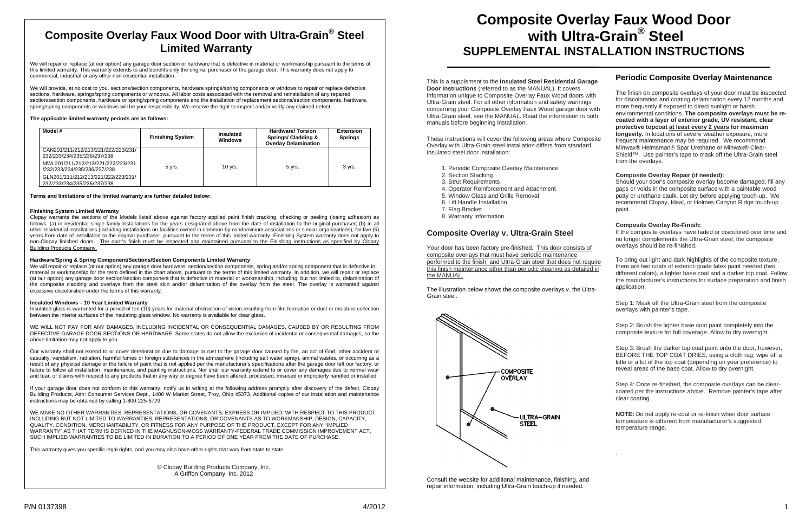# **Composite Overlay Faux Wood Door with Ultra-Grain® Steel Limited Warranty**

We will repair or replace (at our option) any garage door section or hardware that is defective in material or workmanship pursuant to the terms of this limited warranty. This warranty extends to and benefits only the original purchaser of the garage door. This warranty does not apply to commercial, industrial or any other non-residential installation.

We will provide, at no cost to you, sections/section components, hardware springs/spring components or windows to repair or replace defective sections, hardware, springs/spring components or windows. All labor costs associated with the removal and reinstallation of any repaired section/section components, hardware or spring/spring components and the installation of replacement sections/section components, hardware, spring/spring components or windows will be your responsibility. We reserve the right to inspect and/or verify any claimed defect.

#### **The applicable limited warranty periods are as follows:**

| Model #                                                            | <b>Finishing System</b> | <b>Insulated</b><br><b>Windows</b> | <b>Hardware/Torsion</b><br><b>Springs/ Cladding &amp;</b><br><b>Overlay Delamination</b> | <b>Extension</b><br><b>Springs</b> |
|--------------------------------------------------------------------|-------------------------|------------------------------------|------------------------------------------------------------------------------------------|------------------------------------|
| CAN201/211/212/213/221/222/223/231/<br>232/233/234/235/236/237/238 |                         |                                    |                                                                                          |                                    |
| MWL201/211/212/213/221/222/223/231<br>/232/233/234/235/236/237/238 | $5$ yrs.                | 10 vrs.                            | 5 yrs.                                                                                   | 3 yrs.                             |
| GLN201/211/212/213/221/222/223/231/<br>232/233/234/235/236/237/238 |                         |                                    |                                                                                          |                                    |

**Terms and limitations of the limited warranty are further detailed below:** 

#### **Finishing System Limited Warranty**

Clopay warrants the sections of the Models listed above against factory applied paint finish cracking, checking or peeling (losing adhesion) as follows: (a) in residential single family installations for the years designated above from the date of installation to the original purchaser; (b) in all other residential installations (including installations on facilities owned in common by condominium associations or similar organizations), for five (5) years from date of installation to the original purchaser, pursuant to the terms of this limited warranty. Finishing System warranty does not apply to non-Clopay finished doors. The door's finish must be inspected and maintained pursuant to the Finishing instructions as specified by Clopay Building Products Company.

### **Hardware/Spring & Spring Component/Sections/Section Components Limited Warranty**

We will repair or replace (at our option) any garage door hardware, section/section components, spring and/or spring component that is defective in material or workmanship for the term defined in the chart above, pursuant to the terms of this limited warranty. In addition, we will repair or replace (at our option) any garage door section/section component that is defective in material or workmanship, including, but not limited to, delamination of the composite cladding and overlays from the steel skin and/or delamination of the overlay from the steel. The overlay is warranted against excessive discoloration under the terms of this warranty.

#### **Insulated Windows – 10 Year Limited Warranty**

Insulated glass is warranted for a period of ten (10) years for material obstruction of vision resulting from film formation or dust or moisture collection between the interior surfaces of the insulating glass window. No warranty is available for clear glass.

WE WILL NOT PAY FOR ANY DAMAGES, INCLUDING INCIDENTAL OR CONSEQUENTIAL DAMAGES, CAUSED BY OR RESULTING FROM DEFECTIVE GARAGE DOOR SECTIONS OR HARDWARE. Some states do not allow the exclusion of incidental or consequential damages, so the above limitation may not apply to you.

Our warranty shall not extend to or cover deterioration due to damage or rust to the garage door caused by fire, an act of God, other accident or casualty, vandalism, radiation, harmful fumes or foreign substances in the atmosphere (including salt water spray), animal wastes, or occurring as a result of any physical damage or the failure of paint that is not applied per the manufacturer's specifications after the garage door left our factory, or failure to follow all installation, maintenance, and painting instructions. Nor shall our warranty extend to or cover any damages due to normal wear and tear, or claims with respect to any products that in any way or degree have been altered, processed, misused or improperly handled or installed.

Your door has been factory pre-finished. This door consists of composite overlays that must have periodic maintenance performed to the finish, and Ultra-Grain steel that does not require this finish maintenance other than periodic cleaning as detailed in the MANUAL.To bring out light and dark highlights of the composite texture, there are two coats of exterior-grade latex paint needed (two different colors), a lighter base coat and a darker top coat. Follow the manufacturer's instructions for surface preparation and finish application.

If your garage door does not conform to this warranty, notify us in writing at the following address promptly after discovery of the defect. Clopay Building Products, Attn: Consumer Services Dept., 1400 W Market Street, Troy, Ohio 45373. Additional copies of our installation and maintenance instructions may be obtained by calling 1-800-225-6729.

WE MAKE NO OTHER WARRANTIES, REPRESENTATIONS, OR COVENANTS, EXPRESS OR IMPLIED, WITH RESPECT TO THIS PRODUCT, INCLUDING BUT NOT LIMITED TO WARRANTIES, REPRESENTATIONS, OR COVENANTS AS TO WORKMANSHIP, DESIGN, CAPACITY, QUALITY, CONDITION, MERCHANTABILITY, OR FITNESS FOR ANY PURPOSE OF THE PRODUCT, EXCEPT FOR ANY "IMPLIED WARRANTY" AS THAT TERM IS DEFINED IN THE MAGNUSON-MOSS WARRANTY-FEDERAL TRADE COMMISSION IMPROVEMENT ACT, SUCH IMPLIED WARRANTIES TO BE LIMITED IN DURATION TO A PERIOD OF ONE YEAR FROM THE DATE OF PURCHASE.

This warranty gives you specific legal rights, and you may also have other rights that vary from state to state.

information unique to Composite Overlay Faux Wood doors with Ultra-Grain steel. For all other information and safety warnings concerning your Composite Overlay Faux Wood garage door with Ultra-Grain steel, see the MANUAL. Read the information in both manuals before beginning installation. These instructions will cover the following areas where Composite Overlay with Ultra-Grain steel installation differs from standard insulated steel door installation:

- 1. Periodic Composite Overlay Maintenance
- 2. Section Stacking
- 3. Strut Requirements
- 4. Operator Reinforcement and Attachment
- 5. Window Glass and Grille Removal
- 6. Lift Handle Installation
- 7. Flag Bracket
- 8. Warranty Information

# **Composite Overlay v. Ultra-Grain Steel**

This is a supplement to the **Insulated Steel Residential Garage Door Instructions** (referred to as the MANUAL). It covers The finish on composite overlays of your door must be inspected for discoloration and coating delamination every 12 months and more frequently if exposed to direct sunlight or harsh environmental conditions. **The composite overlays must be recoated with a layer of exterior grade, UV resistant, clear protective topcoat at least every 2 years for maximum longevity.** In locations of severe weather exposure, more frequent maintenance may be required. We recommend Minwax® Helmsman® Spar Urethane or Minwax® Clear-Shield™. Use painter's tape to mask off the Ultra-Grain steel from the overlays.

The illustration below shows the composite overlays v. the Ultra-Grain steel.



Consult the website for additional maintenance, finishing, and repair information, including Ultra-Grain touch-up if needed.

# **Periodic Composite Overlay Maintenance**

### **Composite Overlay Repair (if needed):**

Should your door's composite overlay become damaged, fill any gaps or voids in the composite surface with a paintable wood putty or urethane caulk. Let dry before applying touch-up. We recommend Clopay, Ideal, or Holmes Canyon Ridge touch-up paint.

#### **Composite Overlay Re-Finish:**

If the composite overlays have faded or discolored over time and no longer complements the Ultra-Grain steel, the composite overlays should be re-finished.

Step 1: Mask off the Ultra-Grain steel from the composite overlays with painter's tape.

Step 2: Brush the lighter base coat paint completely into the composite texture for full coverage. Allow to dry overnight.

Step 3: Brush the darker top coat paint onto the door, however, BEFORE THE TOP COAT DRIES, using a cloth rag, wipe off a little or a lot of the top coat (depending on your preference) to reveal areas of the base coat. Allow to dry overnight.

Step 4: Once re-finished, the composite overlays can be clearcoated per the instructions above. Remove painter's tape after clear coating.

**NOTE:** Do not apply re-coat or re-finish when door surface temperature is different from manufacturer's suggested temperature range.

© Clopay Building Products Company, Inc. A Griffon Company, Inc. 2012

# **Composite Overlay Faux Wood Door with Ultra-Grain® Steel SUPPLEMENTAL INSTALLATION INSTRUCTIONS**